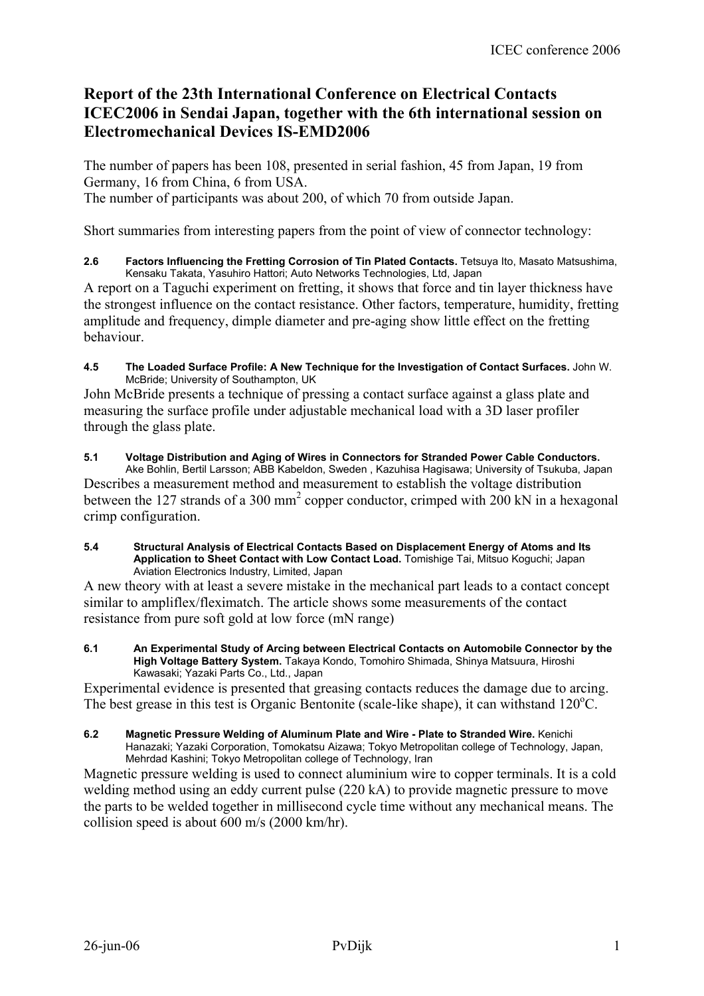# **Report of the 23th International Conference on Electrical Contacts ICEC2006 in Sendai Japan, together with the 6th international session on Electromechanical Devices IS-EMD2006**

The number of papers has been 108, presented in serial fashion, 45 from Japan, 19 from Germany, 16 from China, 6 from USA. The number of participants was about 200, of which 70 from outside Japan.

Short summaries from interesting papers from the point of view of connector technology:

**2.6 Factors Influencing the Fretting Corrosion of Tin Plated Contacts.** Tetsuya Ito, Masato Matsushima, Kensaku Takata, Yasuhiro Hattori; Auto Networks Technologies, Ltd, Japan

A report on a Taguchi experiment on fretting, it shows that force and tin layer thickness have the strongest influence on the contact resistance. Other factors, temperature, humidity, fretting amplitude and frequency, dimple diameter and pre-aging show little effect on the fretting behaviour.

**4.5 The Loaded Surface Profile: A New Technique for the Investigation of Contact Surfaces.** John W. McBride; University of Southampton, UK

John McBride presents a technique of pressing a contact surface against a glass plate and measuring the surface profile under adjustable mechanical load with a 3D laser profiler through the glass plate.

#### **5.1 Voltage Distribution and Aging of Wires in Connectors for Stranded Power Cable Conductors.**

Ake Bohlin, Bertil Larsson; ABB Kabeldon, Sweden , Kazuhisa Hagisawa; University of Tsukuba, Japan Describes a measurement method and measurement to establish the voltage distribution between the 127 strands of a 300 mm<sup>2</sup> copper conductor, crimped with 200 kN in a hexagonal crimp configuration.

#### **5.4 Structural Analysis of Electrical Contacts Based on Displacement Energy of Atoms and Its Application to Sheet Contact with Low Contact Load.** Tomishige Tai, Mitsuo Koguchi; Japan Aviation Electronics Industry, Limited, Japan

A new theory with at least a severe mistake in the mechanical part leads to a contact concept similar to ampliflex/fleximatch. The article shows some measurements of the contact resistance from pure soft gold at low force (mN range)

**6.1 An Experimental Study of Arcing between Electrical Contacts on Automobile Connector by the High Voltage Battery System.** Takaya Kondo, Tomohiro Shimada, Shinya Matsuura, Hiroshi Kawasaki; Yazaki Parts Co., Ltd., Japan

Experimental evidence is presented that greasing contacts reduces the damage due to arcing. The best grease in this test is Organic Bentonite (scale-like shape), it can withstand 120°C.

**6.2 Magnetic Pressure Welding of Aluminum Plate and Wire - Plate to Stranded Wire.** Kenichi Hanazaki; Yazaki Corporation, Tomokatsu Aizawa; Tokyo Metropolitan college of Technology, Japan, Mehrdad Kashini; Tokyo Metropolitan college of Technology, Iran

Magnetic pressure welding is used to connect aluminium wire to copper terminals. It is a cold welding method using an eddy current pulse (220 kA) to provide magnetic pressure to move the parts to be welded together in millisecond cycle time without any mechanical means. The collision speed is about 600 m/s (2000 km/hr).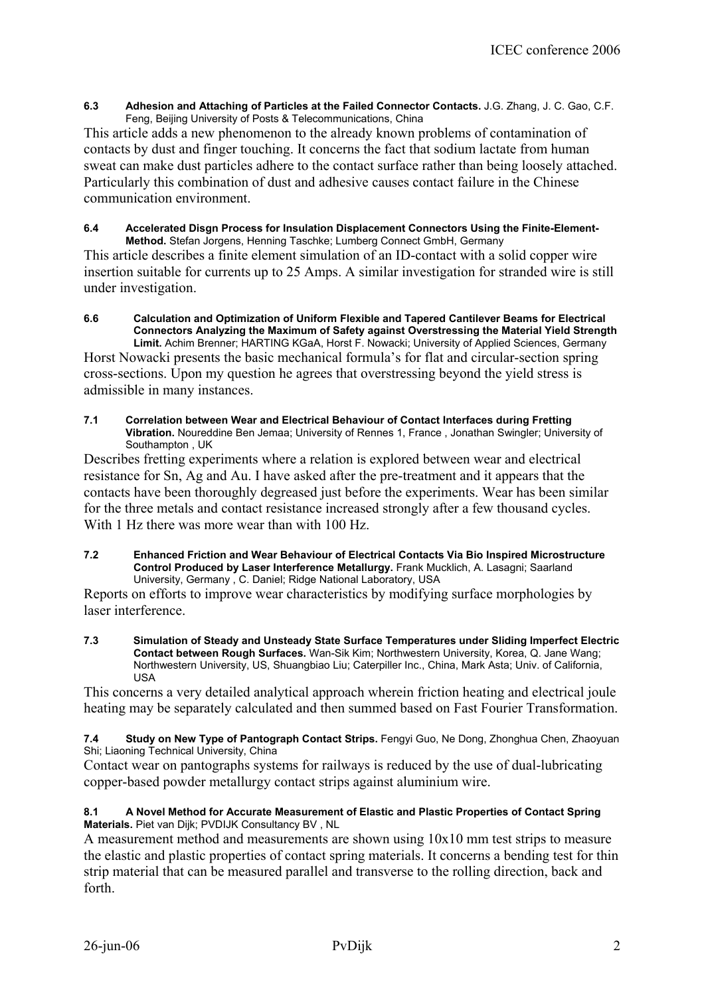**6.3 Adhesion and Attaching of Particles at the Failed Connector Contacts.** J.G. Zhang, J. C. Gao, C.F. Feng, Beijing University of Posts & Telecommunications, China

This article adds a new phenomenon to the already known problems of contamination of contacts by dust and finger touching. It concerns the fact that sodium lactate from human sweat can make dust particles adhere to the contact surface rather than being loosely attached. Particularly this combination of dust and adhesive causes contact failure in the Chinese communication environment.

#### **6.4 Accelerated Disgn Process for Insulation Displacement Connectors Using the Finite-Element-Method.** Stefan Jorgens, Henning Taschke; Lumberg Connect GmbH, Germany

This article describes a finite element simulation of an ID-contact with a solid copper wire insertion suitable for currents up to 25 Amps. A similar investigation for stranded wire is still under investigation.

**6.6 Calculation and Optimization of Uniform Flexible and Tapered Cantilever Beams for Electrical Connectors Analyzing the Maximum of Safety against Overstressing the Material Yield Strength Limit.** Achim Brenner; HARTING KGaA, Horst F. Nowacki; University of Applied Sciences, Germany

Horst Nowacki presents the basic mechanical formula's for flat and circular-section spring cross-sections. Upon my question he agrees that overstressing beyond the yield stress is admissible in many instances.

**7.1 Correlation between Wear and Electrical Behaviour of Contact Interfaces during Fretting Vibration.** Noureddine Ben Jemaa; University of Rennes 1, France , Jonathan Swingler; University of Southampton , UK

Describes fretting experiments where a relation is explored between wear and electrical resistance for Sn, Ag and Au. I have asked after the pre-treatment and it appears that the contacts have been thoroughly degreased just before the experiments. Wear has been similar for the three metals and contact resistance increased strongly after a few thousand cycles. With 1 Hz there was more wear than with 100 Hz.

**7.2 Enhanced Friction and Wear Behaviour of Electrical Contacts Via Bio Inspired Microstructure Control Produced by Laser Interference Metallurgy.** Frank Mucklich, A. Lasagni; Saarland University, Germany , C. Daniel; Ridge National Laboratory, USA

Reports on efforts to improve wear characteristics by modifying surface morphologies by laser interference.

**7.3 Simulation of Steady and Unsteady State Surface Temperatures under Sliding Imperfect Electric Contact between Rough Surfaces.** Wan-Sik Kim; Northwestern University, Korea, Q. Jane Wang; Northwestern University, US, Shuangbiao Liu; Caterpiller Inc., China, Mark Asta; Univ. of California, USA

This concerns a very detailed analytical approach wherein friction heating and electrical joule heating may be separately calculated and then summed based on Fast Fourier Transformation.

7.4 Study on New Type of Pantograph Contact Strips. Fengyi Guo, Ne Dong, Zhonghua Chen, Zhaoyuan Shi; Liaoning Technical University, China

Contact wear on pantographs systems for railways is reduced by the use of dual-lubricating copper-based powder metallurgy contact strips against aluminium wire.

## **8.1 A Novel Method for Accurate Measurement of Elastic and Plastic Properties of Contact Spring Materials.** Piet van Dijk; PVDIJK Consultancy BV , NL

A measurement method and measurements are shown using  $10x10$  mm test strips to measure the elastic and plastic properties of contact spring materials. It concerns a bending test for thin strip material that can be measured parallel and transverse to the rolling direction, back and forth.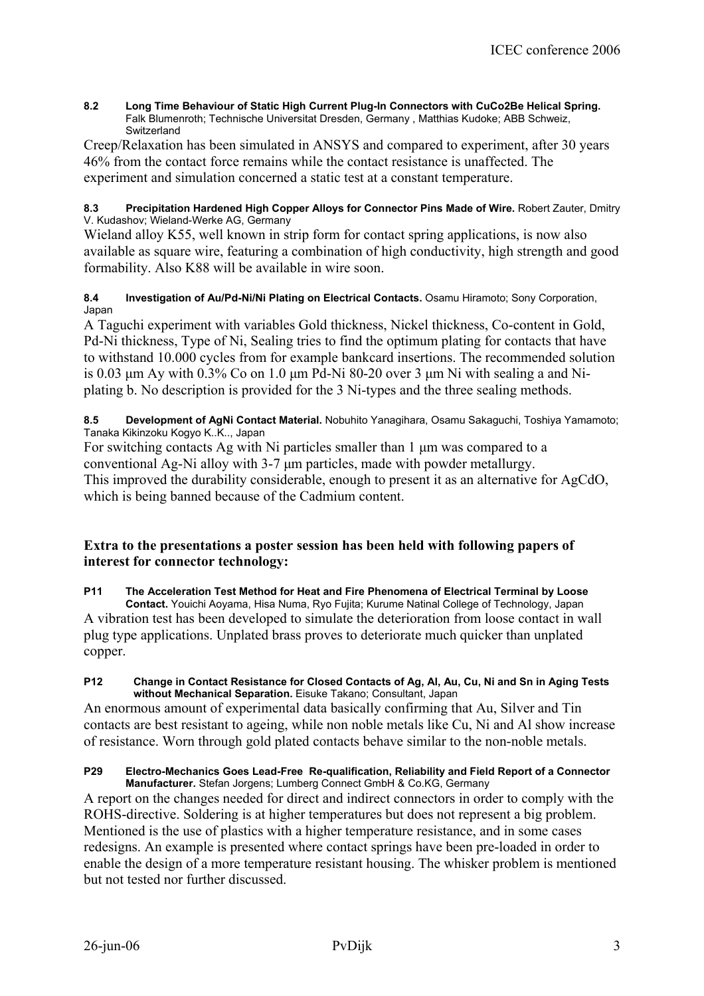**8.2 Long Time Behaviour of Static High Current Plug-In Connectors with CuCo2Be Helical Spring.**  Falk Blumenroth; Technische Universitat Dresden, Germany , Matthias Kudoke; ABB Schweiz, **Switzerland** 

Creep/Relaxation has been simulated in ANSYS and compared to experiment, after 30 years 46% from the contact force remains while the contact resistance is unaffected. The experiment and simulation concerned a static test at a constant temperature.

## 8.3 Precipitation Hardened High Copper Alloys for Connector Pins Made of Wire. Robert Zauter, Dmitry V. Kudashov; Wieland-Werke AG, Germany

Wieland alloy K55, well known in strip form for contact spring applications, is now also available as square wire, featuring a combination of high conductivity, high strength and good formability. Also K88 will be available in wire soon.

## **8.4 Investigation of Au/Pd-Ni/Ni Plating on Electrical Contacts.** Osamu Hiramoto; Sony Corporation, Japan

A Taguchi experiment with variables Gold thickness, Nickel thickness, Co-content in Gold, Pd-Ni thickness, Type of Ni, Sealing tries to find the optimum plating for contacts that have to withstand 10.000 cycles from for example bankcard insertions. The recommended solution is 0.03  $\mu$ m Ay with 0.3% Co on 1.0  $\mu$ m Pd-Ni 80-20 over 3  $\mu$ m Ni with sealing a and Niplating b. No description is provided for the 3 Ni-types and the three sealing methods.

## **8.5 Development of AgNi Contact Material.** Nobuhito Yanagihara, Osamu Sakaguchi, Toshiya Yamamoto; Tanaka Kikinzoku Kogyo K..K.., Japan

For switching contacts Ag with Ni particles smaller than 1 µm was compared to a conventional Ag-Ni alloy with 3-7 µm particles, made with powder metallurgy. This improved the durability considerable, enough to present it as an alternative for AgCdO, which is being banned because of the Cadmium content.

## **Extra to the presentations a poster session has been held with following papers of interest for connector technology:**

## **P11 The Acceleration Test Method for Heat and Fire Phenomena of Electrical Terminal by Loose**

**Contact.** Youichi Aoyama, Hisa Numa, Ryo Fujita; Kurume Natinal College of Technology, Japan A vibration test has been developed to simulate the deterioration from loose contact in wall plug type applications. Unplated brass proves to deteriorate much quicker than unplated copper.

#### **P12 Change in Contact Resistance for Closed Contacts of Ag, Al, Au, Cu, Ni and Sn in Aging Tests without Mechanical Separation.** Eisuke Takano; Consultant, Japan

An enormous amount of experimental data basically confirming that Au, Silver and Tin contacts are best resistant to ageing, while non noble metals like Cu, Ni and Al show increase of resistance. Worn through gold plated contacts behave similar to the non-noble metals.

#### **P29 Electro-Mechanics Goes Lead-Free Re-qualification, Reliability and Field Report of a Connector Manufacturer.** Stefan Jorgens; Lumberg Connect GmbH & Co.KG, Germany

A report on the changes needed for direct and indirect connectors in order to comply with the ROHS-directive. Soldering is at higher temperatures but does not represent a big problem. Mentioned is the use of plastics with a higher temperature resistance, and in some cases redesigns. An example is presented where contact springs have been pre-loaded in order to enable the design of a more temperature resistant housing. The whisker problem is mentioned but not tested nor further discussed.